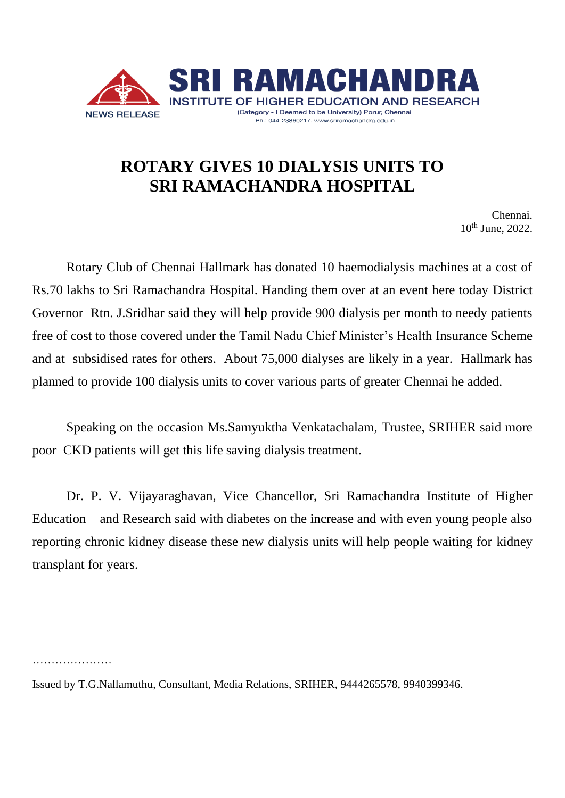

## **ROTARY GIVES 10 DIALYSIS UNITS TO SRI RAMACHANDRA HOSPITAL**

 Chennai. 10th June, 2022.

Rotary Club of Chennai Hallmark has donated 10 haemodialysis machines at a cost of Rs.70 lakhs to Sri Ramachandra Hospital. Handing them over at an event here today District Governor Rtn. J.Sridhar said they will help provide 900 dialysis per month to needy patients free of cost to those covered under the Tamil Nadu Chief Minister's Health Insurance Scheme and at subsidised rates for others. About 75,000 dialyses are likely in a year. Hallmark has planned to provide 100 dialysis units to cover various parts of greater Chennai he added.

Speaking on the occasion Ms.Samyuktha Venkatachalam, Trustee, SRIHER said more poor CKD patients will get this life saving dialysis treatment.

Dr. P. V. Vijayaraghavan, Vice Chancellor, Sri Ramachandra Institute of Higher Education and Research said with diabetes on the increase and with even young people also reporting chronic kidney disease these new dialysis units will help people waiting for kidney transplant for years.

………………………

Issued by T.G.Nallamuthu, Consultant, Media Relations, SRIHER, 9444265578, 9940399346.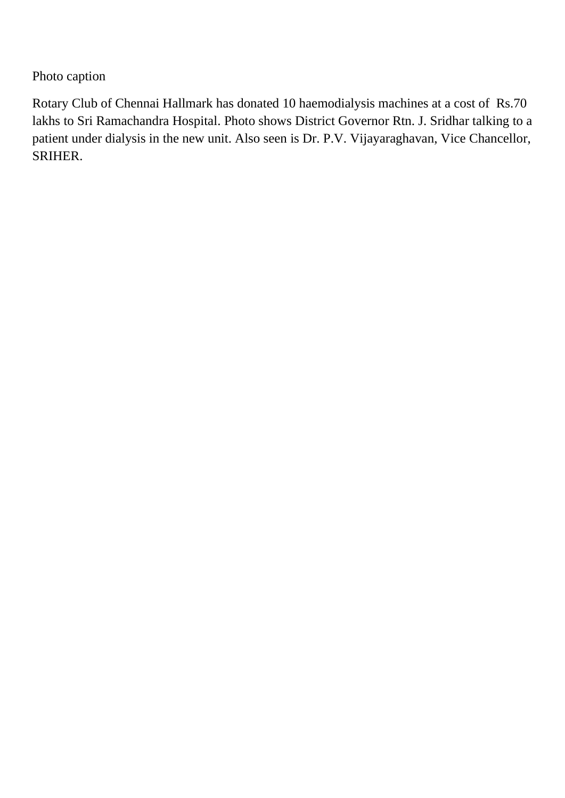Photo caption

Rotary Club of Chennai Hallmark has donated 10 haemodialysis machines at a cost of Rs.70 lakhs to Sri Ramachandra Hospital. Photo shows District Governor Rtn. J. Sridhar talking to a patient under dialysis in the new unit. Also seen is Dr. P.V. Vijayaraghavan, Vice Chancellor, SRIHER.